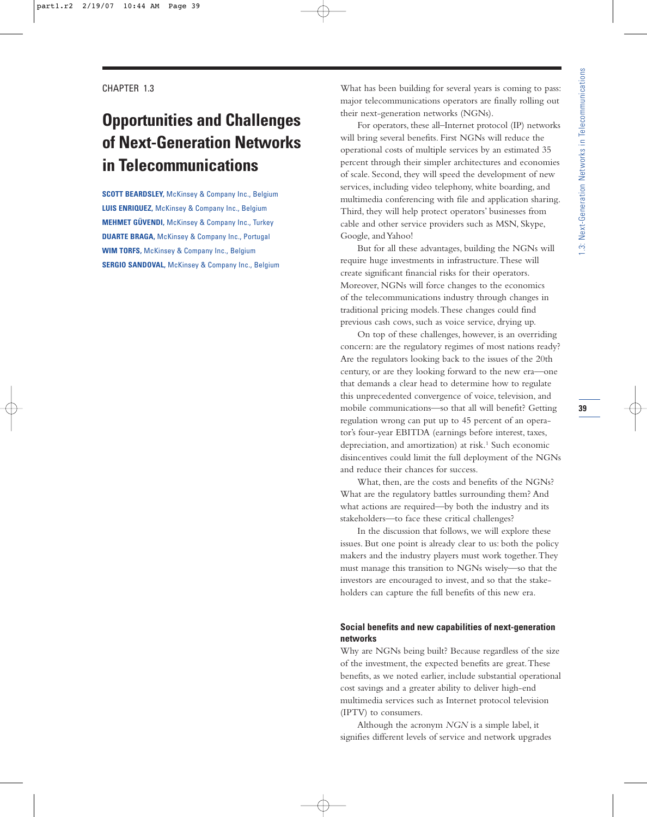# **Opportunities and Challenges of Next-Generation Networks in Telecommunications**

**SCOTT BEARDSLEY,** McKinsey & Company Inc., Belgium **LUIS ENRIQUEZ,** McKinsey & Company Inc., Belgium **MEHMET GÜVENDI,** McKinsey & Company Inc., Turkey **DUARTE BRAGA,** McKinsey & Company Inc., Portugal **WIM TORFS,** McKinsey & Company Inc., Belgium **SERGIO SANDOVAL,** McKinsey & Company Inc., Belgium What has been building for several years is coming to pass: major telecommunications operators are finally rolling out their next-generation networks (NGNs).

For operators, these all–Internet protocol (IP) networks will bring several benefits. First NGNs will reduce the operational costs of multiple services by an estimated 35 percent through their simpler architectures and economies of scale. Second, they will speed the development of new services, including video telephony, white boarding, and multimedia conferencing with file and application sharing. Third, they will help protect operators' businesses from cable and other service providers such as MSN, Skype, Google, and Yahoo!

But for all these advantages, building the NGNs will require huge investments in infrastructure.These will create significant financial risks for their operators. Moreover, NGNs will force changes to the economics of the telecommunications industry through changes in traditional pricing models.These changes could find previous cash cows, such as voice service, drying up.

On top of these challenges, however, is an overriding concern: are the regulatory regimes of most nations ready? Are the regulators looking back to the issues of the 20th century, or are they looking forward to the new era—one that demands a clear head to determine how to regulate this unprecedented convergence of voice, television, and mobile communications—so that all will benefit? Getting regulation wrong can put up to 45 percent of an operator's four-year EBITDA (earnings before interest, taxes, depreciation, and amortization) at risk.<sup>1</sup> Such economic disincentives could limit the full deployment of the NGNs and reduce their chances for success.

What, then, are the costs and benefits of the NGNs? What are the regulatory battles surrounding them? And what actions are required—by both the industry and its stakeholders—to face these critical challenges?

In the discussion that follows, we will explore these issues. But one point is already clear to us: both the policy makers and the industry players must work together.They must manage this transition to NGNs wisely—so that the investors are encouraged to invest, and so that the stakeholders can capture the full benefits of this new era.

## **Social benefits and new capabilities of next-generation networks**

Why are NGNs being built? Because regardless of the size of the investment, the expected benefits are great.These benefits, as we noted earlier, include substantial operational cost savings and a greater ability to deliver high-end multimedia services such as Internet protocol television (IPTV) to consumers.

Although the acronym *NGN* is a simple label, it signifies different levels of service and network upgrades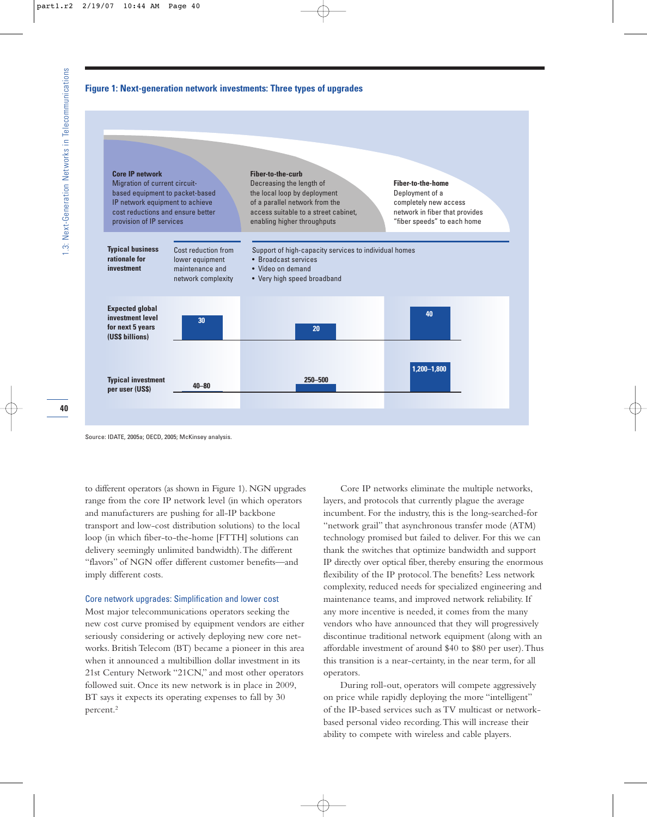## **Figure 1: Next-generation network investments: Three types of upgrades**



Source: IDATE, 2005a; OECD, 2005; McKinsey analysis.

to different operators (as shown in Figure 1). NGN upgrades range from the core IP network level (in which operators and manufacturers are pushing for all-IP backbone transport and low-cost distribution solutions) to the local loop (in which fiber-to-the-home [FTTH] solutions can delivery seemingly unlimited bandwidth).The different "flavors" of NGN offer different customer benefits—and imply different costs.

## Core network upgrades: Simplification and lower cost

Most major telecommunications operators seeking the new cost curve promised by equipment vendors are either seriously considering or actively deploying new core networks. British Telecom (BT) became a pioneer in this area when it announced a multibillion dollar investment in its 21st Century Network "21CN," and most other operators followed suit. Once its new network is in place in 2009, BT says it expects its operating expenses to fall by 30 percent.2

Core IP networks eliminate the multiple networks, layers, and protocols that currently plague the average incumbent. For the industry, this is the long-searched-for "network grail" that asynchronous transfer mode (ATM) technology promised but failed to deliver. For this we can thank the switches that optimize bandwidth and support IP directly over optical fiber, thereby ensuring the enormous flexibility of the IP protocol.The benefits? Less network complexity, reduced needs for specialized engineering and maintenance teams, and improved network reliability. If any more incentive is needed, it comes from the many vendors who have announced that they will progressively discontinue traditional network equipment (along with an affordable investment of around \$40 to \$80 per user).Thus this transition is a near-certainty, in the near term, for all operators.

During roll-out, operators will compete aggressively on price while rapidly deploying the more "intelligent" of the IP-based services such as TV multicast or networkbased personal video recording.This will increase their ability to compete with wireless and cable players.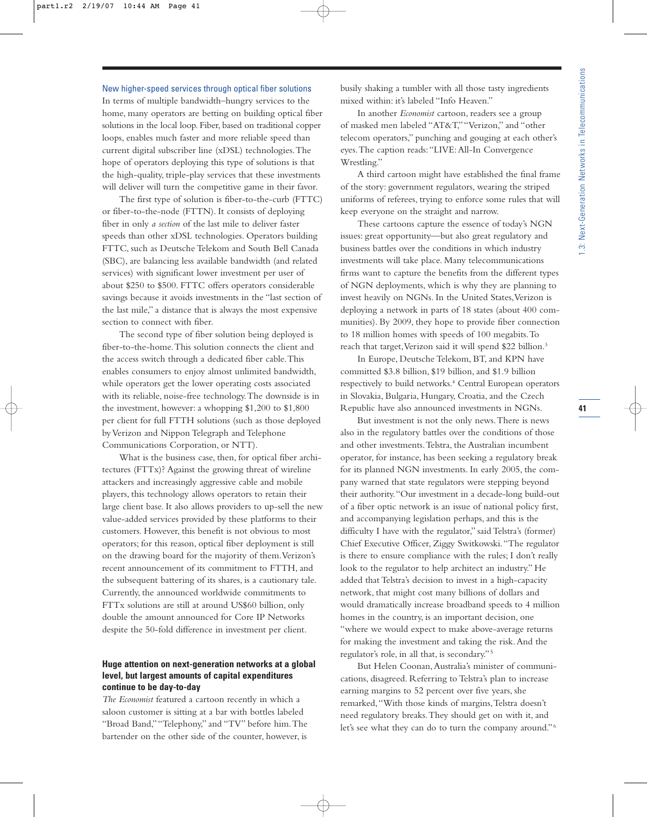#### New higher-speed services through optical fiber solutions

In terms of multiple bandwidth–hungry services to the home, many operators are betting on building optical fiber solutions in the local loop. Fiber, based on traditional copper loops, enables much faster and more reliable speed than current digital subscriber line (xDSL) technologies.The hope of operators deploying this type of solutions is that the high-quality, triple-play services that these investments will deliver will turn the competitive game in their favor.

The first type of solution is fiber-to-the-curb (FTTC) or fiber-to-the-node (FTTN). It consists of deploying fiber in only *a section* of the last mile to deliver faster speeds than other xDSL technologies. Operators building FTTC, such as Deutsche Telekom and South Bell Canada (SBC), are balancing less available bandwidth (and related services) with significant lower investment per user of about \$250 to \$500. FTTC offers operators considerable savings because it avoids investments in the "last section of the last mile," a distance that is always the most expensive section to connect with fiber.

The second type of fiber solution being deployed is fiber-to-the-home.This solution connects the client and the access switch through a dedicated fiber cable.This enables consumers to enjoy almost unlimited bandwidth, while operators get the lower operating costs associated with its reliable, noise-free technology.The downside is in the investment, however: a whopping \$1,200 to \$1,800 per client for full FTTH solutions (such as those deployed by Verizon and Nippon Telegraph and Telephone Communications Corporation, or NTT).

What is the business case, then, for optical fiber architectures (FTTx)? Against the growing threat of wireline attackers and increasingly aggressive cable and mobile players, this technology allows operators to retain their large client base. It also allows providers to up-sell the new value-added services provided by these platforms to their customers. However, this benefit is not obvious to most operators; for this reason, optical fiber deployment is still on the drawing board for the majority of them.Verizon's recent announcement of its commitment to FTTH, and the subsequent battering of its shares, is a cautionary tale. Currently, the announced worldwide commitments to FTTx solutions are still at around US\$60 billion, only double the amount announced for Core IP Networks despite the 50-fold difference in investment per client.

# **Huge attention on next-generation networks at a global level, but largest amounts of capital expenditures continue to be day-to-day**

*The Economist* featured a cartoon recently in which a saloon customer is sitting at a bar with bottles labeled "Broad Band,""Telephony," and "TV" before him.The bartender on the other side of the counter, however, is busily shaking a tumbler with all those tasty ingredients mixed within: it's labeled "Info Heaven."

In another *Economist* cartoon, readers see a group of masked men labeled "AT&T,""Verizon," and "other telecom operators," punching and gouging at each other's eyes.The caption reads:"LIVE:All-In Convergence Wrestling."

A third cartoon might have established the final frame of the story: government regulators, wearing the striped uniforms of referees, trying to enforce some rules that will keep everyone on the straight and narrow.

These cartoons capture the essence of today's NGN issues: great opportunity—but also great regulatory and business battles over the conditions in which industry investments will take place. Many telecommunications firms want to capture the benefits from the different types of NGN deployments, which is why they are planning to invest heavily on NGNs. In the United States,Verizon is deploying a network in parts of 18 states (about 400 communities). By 2009, they hope to provide fiber connection to 18 million homes with speeds of 100 megabits.To reach that target, Verizon said it will spend \$22 billion.<sup>3</sup>

In Europe, Deutsche Telekom, BT, and KPN have committed \$3.8 billion, \$19 billion, and \$1.9 billion respectively to build networks.<sup>4</sup> Central European operators in Slovakia, Bulgaria, Hungary, Croatia, and the Czech Republic have also announced investments in NGNs.

But investment is not the only news.There is news also in the regulatory battles over the conditions of those and other investments.Telstra, the Australian incumbent operator, for instance, has been seeking a regulatory break for its planned NGN investments. In early 2005, the company warned that state regulators were stepping beyond their authority."Our investment in a decade-long build-out of a fiber optic network is an issue of national policy first, and accompanying legislation perhaps, and this is the difficulty I have with the regulator," said Telstra's (former) Chief Executive Officer, Ziggy Switkowski."The regulator is there to ensure compliance with the rules; I don't really look to the regulator to help architect an industry." He added that Telstra's decision to invest in a high-capacity network, that might cost many billions of dollars and would dramatically increase broadband speeds to 4 million homes in the country, is an important decision, one "where we would expect to make above-average returns for making the investment and taking the risk.And the regulator's role, in all that, is secondary." <sup>5</sup>

But Helen Coonan,Australia's minister of communications, disagreed. Referring to Telstra's plan to increase earning margins to 52 percent over five years, she remarked,"With those kinds of margins,Telstra doesn't need regulatory breaks.They should get on with it, and let's see what they can do to turn the company around." <sup>6</sup>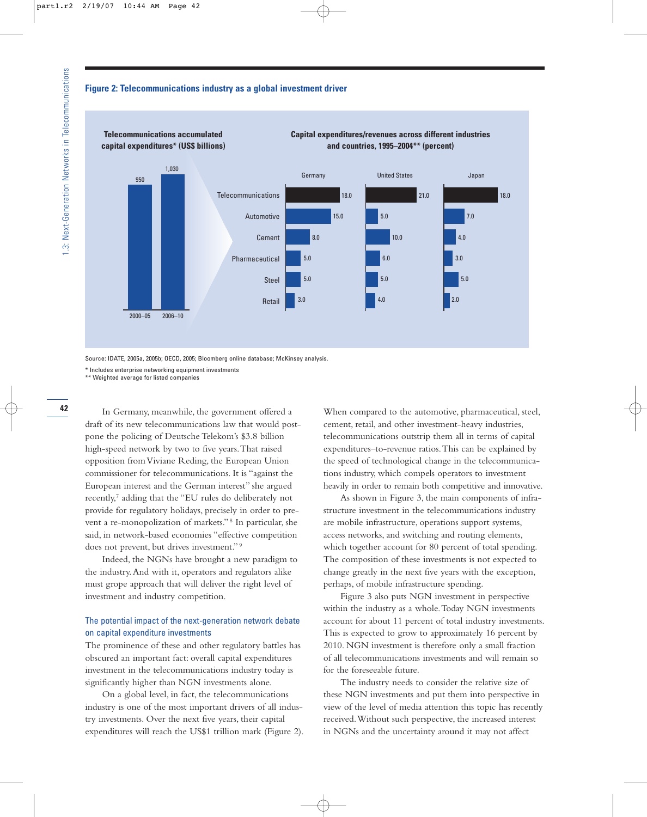#### **Figure 2: Telecommunications industry as a global investment driver**



Source: IDATE, 2005a, 2005b; OECD, 2005; Bloomberg online database; McKinsey analysis.

\* Includes enterprise networking equipment investments

\*\* Weighted average for listed companies

In Germany, meanwhile, the government offered a draft of its new telecommunications law that would postpone the policing of Deutsche Telekom's \$3.8 billion high-speed network by two to five years.That raised opposition from Viviane Reding, the European Union commissioner for telecommunications. It is "against the European interest and the German interest" she argued recently,7 adding that the "EU rules do deliberately not provide for regulatory holidays, precisely in order to prevent a re-monopolization of markets." <sup>8</sup> In particular, she said, in network-based economies "effective competition does not prevent, but drives investment." <sup>9</sup>

Indeed, the NGNs have brought a new paradigm to the industry.And with it, operators and regulators alike must grope approach that will deliver the right level of investment and industry competition.

# The potential impact of the next-generation network debate on capital expenditure investments

The prominence of these and other regulatory battles has obscured an important fact: overall capital expenditures investment in the telecommunications industry today is significantly higher than NGN investments alone.

On a global level, in fact, the telecommunications industry is one of the most important drivers of all industry investments. Over the next five years, their capital expenditures will reach the US\$1 trillion mark (Figure 2). When compared to the automotive, pharmaceutical, steel, cement, retail, and other investment-heavy industries, telecommunications outstrip them all in terms of capital expenditures–to-revenue ratios.This can be explained by the speed of technological change in the telecommunications industry, which compels operators to investment heavily in order to remain both competitive and innovative.

As shown in Figure 3, the main components of infrastructure investment in the telecommunications industry are mobile infrastructure, operations support systems, access networks, and switching and routing elements, which together account for 80 percent of total spending. The composition of these investments is not expected to change greatly in the next five years with the exception, perhaps, of mobile infrastructure spending.

Figure 3 also puts NGN investment in perspective within the industry as a whole.Today NGN investments account for about 11 percent of total industry investments. This is expected to grow to approximately 16 percent by 2010. NGN investment is therefore only a small fraction of all telecommunications investments and will remain so for the foreseeable future.

The industry needs to consider the relative size of these NGN investments and put them into perspective in view of the level of media attention this topic has recently received.Without such perspective, the increased interest in NGNs and the uncertainty around it may not affect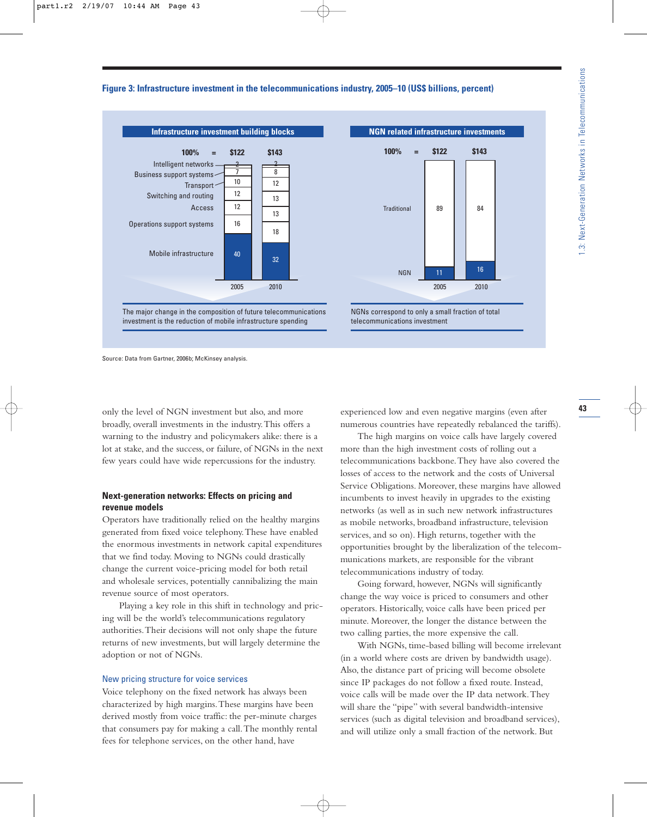## **Figure 3: Infrastructure investment in the telecommunications industry, 2005–10 (US\$ billions, percent)**



Source: Data from Gartner, 2006b; McKinsey analysis.

only the level of NGN investment but also, and more broadly, overall investments in the industry.This offers a warning to the industry and policymakers alike: there is a lot at stake, and the success, or failure, of NGNs in the next few years could have wide repercussions for the industry.

## **Next-generation networks: Effects on pricing and revenue models**

Operators have traditionally relied on the healthy margins generated from fixed voice telephony.These have enabled the enormous investments in network capital expenditures that we find today. Moving to NGNs could drastically change the current voice-pricing model for both retail and wholesale services, potentially cannibalizing the main revenue source of most operators.

Playing a key role in this shift in technology and pricing will be the world's telecommunications regulatory authorities.Their decisions will not only shape the future returns of new investments, but will largely determine the adoption or not of NGNs.

#### New pricing structure for voice services

Voice telephony on the fixed network has always been characterized by high margins.These margins have been derived mostly from voice traffic: the per-minute charges that consumers pay for making a call.The monthly rental fees for telephone services, on the other hand, have

experienced low and even negative margins (even after numerous countries have repeatedly rebalanced the tariffs).

The high margins on voice calls have largely covered more than the high investment costs of rolling out a telecommunications backbone.They have also covered the losses of access to the network and the costs of Universal Service Obligations. Moreover, these margins have allowed incumbents to invest heavily in upgrades to the existing networks (as well as in such new network infrastructures as mobile networks, broadband infrastructure, television services, and so on). High returns, together with the opportunities brought by the liberalization of the telecommunications markets, are responsible for the vibrant telecommunications industry of today.

Going forward, however, NGNs will significantly change the way voice is priced to consumers and other operators. Historically, voice calls have been priced per minute. Moreover, the longer the distance between the two calling parties, the more expensive the call.

With NGNs, time-based billing will become irrelevant (in a world where costs are driven by bandwidth usage). Also, the distance part of pricing will become obsolete since IP packages do not follow a fixed route. Instead, voice calls will be made over the IP data network.They will share the "pipe" with several bandwidth-intensive services (such as digital television and broadband services), and will utilize only a small fraction of the network. But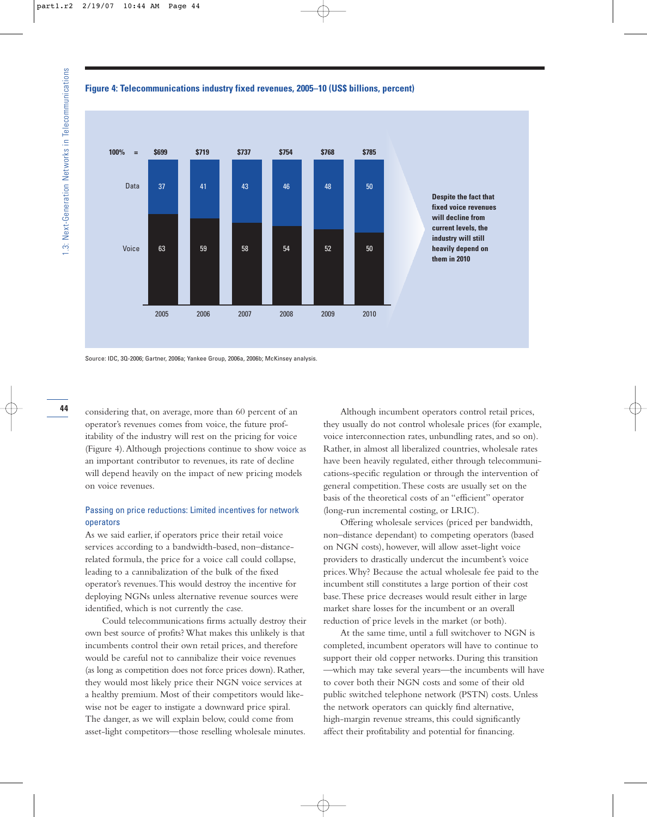### **Figure 4: Telecommunications industry fixed revenues, 2005–10 (US\$ billions, percent)**





considering that, on average, more than 60 percent of an operator's revenues comes from voice, the future profitability of the industry will rest on the pricing for voice (Figure 4).Although projections continue to show voice as an important contributor to revenues, its rate of decline will depend heavily on the impact of new pricing models on voice revenues.

## Passing on price reductions: Limited incentives for network operators

As we said earlier, if operators price their retail voice services according to a bandwidth-based, non–distancerelated formula, the price for a voice call could collapse, leading to a cannibalization of the bulk of the fixed operator's revenues.This would destroy the incentive for deploying NGNs unless alternative revenue sources were identified, which is not currently the case.

Could telecommunications firms actually destroy their own best source of profits? What makes this unlikely is that incumbents control their own retail prices, and therefore would be careful not to cannibalize their voice revenues (as long as competition does not force prices down). Rather, they would most likely price their NGN voice services at a healthy premium. Most of their competitors would likewise not be eager to instigate a downward price spiral. The danger, as we will explain below, could come from asset-light competitors—those reselling wholesale minutes.

Although incumbent operators control retail prices, they usually do not control wholesale prices (for example, voice interconnection rates, unbundling rates, and so on). Rather, in almost all liberalized countries, wholesale rates have been heavily regulated, either through telecommunications-specific regulation or through the intervention of general competition.These costs are usually set on the basis of the theoretical costs of an "efficient" operator (long-run incremental costing, or LRIC).

Offering wholesale services (priced per bandwidth, non–distance dependant) to competing operators (based on NGN costs), however, will allow asset-light voice providers to drastically undercut the incumbent's voice prices.Why? Because the actual wholesale fee paid to the incumbent still constitutes a large portion of their cost base.These price decreases would result either in large market share losses for the incumbent or an overall reduction of price levels in the market (or both).

At the same time, until a full switchover to NGN is completed, incumbent operators will have to continue to support their old copper networks. During this transition —which may take several years—the incumbents will have to cover both their NGN costs and some of their old public switched telephone network (PSTN) costs. Unless the network operators can quickly find alternative, high-margin revenue streams, this could significantly affect their profitability and potential for financing.

44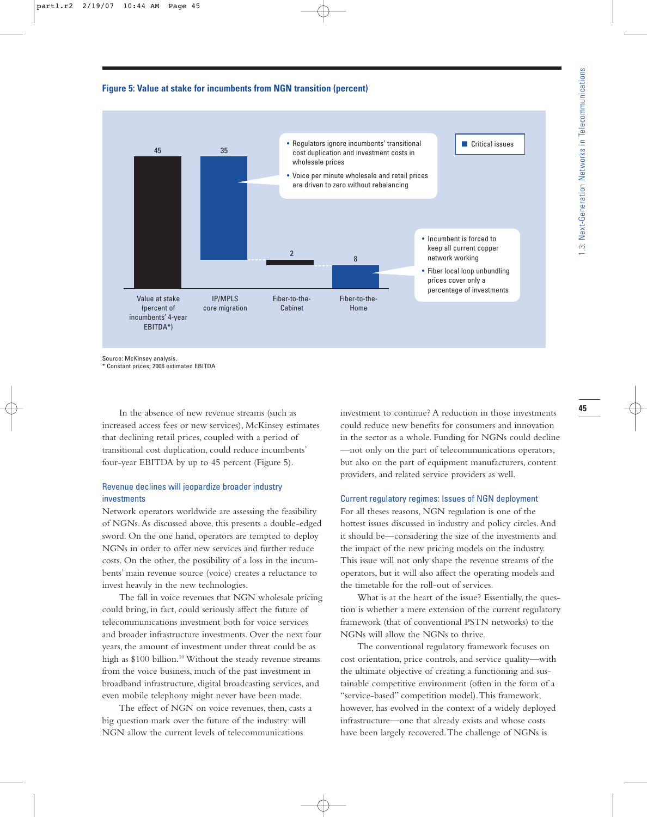## **Figure 5: Value at stake for incumbents from NGN transition (percent)**



Source: McKinsey analysis.

\* Constant prices; 2006 estimated EBITDA

In the absence of new revenue streams (such as increased access fees or new services), McKinsey estimates that declining retail prices, coupled with a period of transitional cost duplication, could reduce incumbents' four-year EBITDA by up to 45 percent (Figure 5).

# Revenue declines will jeopardize broader industry investments

Network operators worldwide are assessing the feasibility of NGNs.As discussed above, this presents a double-edged sword. On the one hand, operators are tempted to deploy NGNs in order to offer new services and further reduce costs. On the other, the possibility of a loss in the incumbents' main revenue source (voice) creates a reluctance to invest heavily in the new technologies.

The fall in voice revenues that NGN wholesale pricing could bring, in fact, could seriously affect the future of telecommunications investment both for voice services and broader infrastructure investments. Over the next four years, the amount of investment under threat could be as high as \$100 billion.<sup>10</sup> Without the steady revenue streams from the voice business, much of the past investment in broadband infrastructure, digital broadcasting services, and even mobile telephony might never have been made.

The effect of NGN on voice revenues, then, casts a big question mark over the future of the industry: will NGN allow the current levels of telecommunications

investment to continue? A reduction in those investments could reduce new benefits for consumers and innovation in the sector as a whole. Funding for NGNs could decline —not only on the part of telecommunications operators, but also on the part of equipment manufacturers, content providers, and related service providers as well.

#### Current regulatory regimes: Issues of NGN deployment

For all theses reasons, NGN regulation is one of the hottest issues discussed in industry and policy circles.And it should be—considering the size of the investments and the impact of the new pricing models on the industry. This issue will not only shape the revenue streams of the operators, but it will also affect the operating models and the timetable for the roll-out of services.

What is at the heart of the issue? Essentially, the question is whether a mere extension of the current regulatory framework (that of conventional PSTN networks) to the NGNs will allow the NGNs to thrive.

The conventional regulatory framework focuses on cost orientation, price controls, and service quality—with the ultimate objective of creating a functioning and sustainable competitive environment (often in the form of a "service-based" competition model).This framework, however, has evolved in the context of a widely deployed infrastructure—one that already exists and whose costs have been largely recovered.The challenge of NGNs is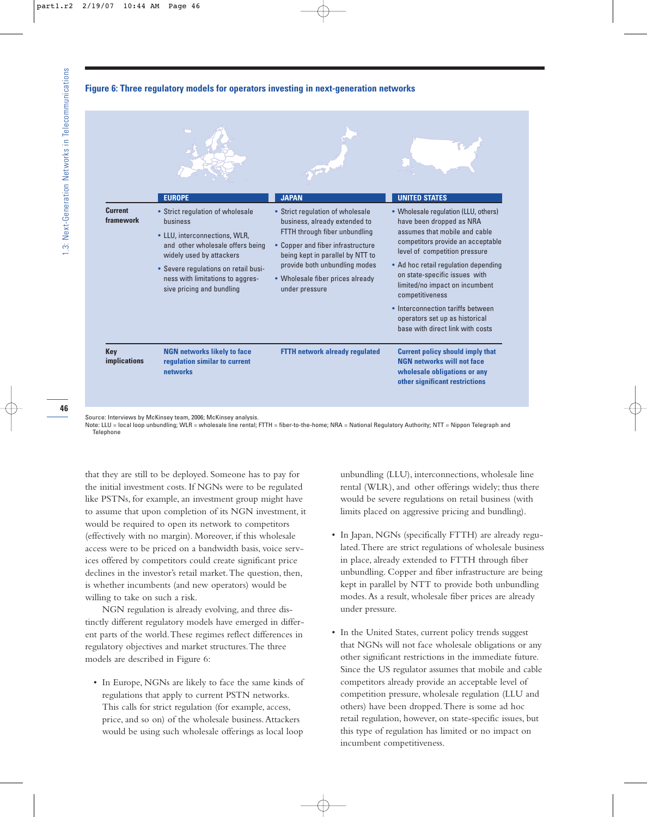### **Figure 6: Three regulatory models for operators investing in next-generation networks**



Source: Interviews by McKinsey team, 2006; McKinsey analysis.

Note: LLU = local loop unbundling; WLR = wholesale line rental; FTTH = fiber-to-the-home; NRA = National Regulatory Authority; NTT = Nippon Telegraph and Telephone

that they are still to be deployed. Someone has to pay for the initial investment costs. If NGNs were to be regulated like PSTNs, for example, an investment group might have to assume that upon completion of its NGN investment, it would be required to open its network to competitors (effectively with no margin). Moreover, if this wholesale access were to be priced on a bandwidth basis, voice services offered by competitors could create significant price declines in the investor's retail market.The question, then, is whether incumbents (and new operators) would be willing to take on such a risk.

NGN regulation is already evolving, and three distinctly different regulatory models have emerged in different parts of the world.These regimes reflect differences in regulatory objectives and market structures.The three models are described in Figure 6:

• In Europe, NGNs are likely to face the same kinds of regulations that apply to current PSTN networks. This calls for strict regulation (for example, access, price, and so on) of the wholesale business.Attackers would be using such wholesale offerings as local loop

unbundling (LLU), interconnections, wholesale line rental (WLR), and other offerings widely; thus there would be severe regulations on retail business (with limits placed on aggressive pricing and bundling).

- In Japan, NGNs (specifically FTTH) are already regulated.There are strict regulations of wholesale business in place, already extended to FTTH through fiber unbundling. Copper and fiber infrastructure are being kept in parallel by NTT to provide both unbundling modes.As a result, wholesale fiber prices are already under pressure.
- In the United States, current policy trends suggest that NGNs will not face wholesale obligations or any other significant restrictions in the immediate future. Since the US regulator assumes that mobile and cable competitors already provide an acceptable level of competition pressure, wholesale regulation (LLU and others) have been dropped.There is some ad hoc retail regulation, however, on state-specific issues, but this type of regulation has limited or no impact on incumbent competitiveness.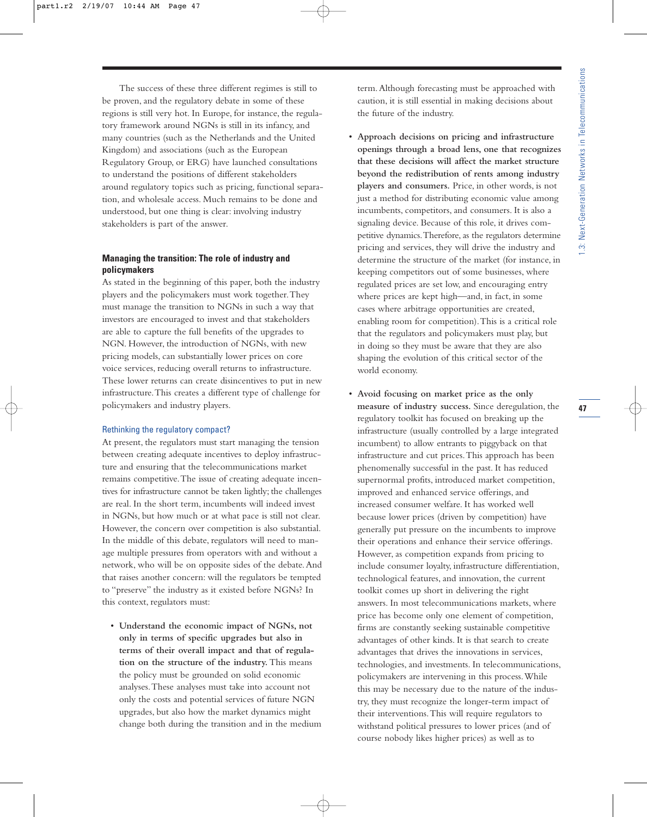The success of these three different regimes is still to be proven, and the regulatory debate in some of these regions is still very hot. In Europe, for instance, the regulatory framework around NGNs is still in its infancy, and many countries (such as the Netherlands and the United Kingdom) and associations (such as the European Regulatory Group, or ERG) have launched consultations to understand the positions of different stakeholders around regulatory topics such as pricing, functional separation, and wholesale access. Much remains to be done and understood, but one thing is clear: involving industry stakeholders is part of the answer.

# **Managing the transition: The role of industry and policymakers**

As stated in the beginning of this paper, both the industry players and the policymakers must work together.They must manage the transition to NGNs in such a way that investors are encouraged to invest and that stakeholders are able to capture the full benefits of the upgrades to NGN. However, the introduction of NGNs, with new pricing models, can substantially lower prices on core voice services, reducing overall returns to infrastructure. These lower returns can create disincentives to put in new infrastructure.This creates a different type of challenge for policymakers and industry players.

#### Rethinking the regulatory compact?

At present, the regulators must start managing the tension between creating adequate incentives to deploy infrastructure and ensuring that the telecommunications market remains competitive.The issue of creating adequate incentives for infrastructure cannot be taken lightly; the challenges are real. In the short term, incumbents will indeed invest in NGNs, but how much or at what pace is still not clear. However, the concern over competition is also substantial. In the middle of this debate, regulators will need to manage multiple pressures from operators with and without a network, who will be on opposite sides of the debate.And that raises another concern: will the regulators be tempted to "preserve" the industry as it existed before NGNs? In this context, regulators must:

• **Understand the economic impact of NGNs, not only in terms of specific upgrades but also in terms of their overall impact and that of regulation on the structure of the industry.** This means the policy must be grounded on solid economic analyses.These analyses must take into account not only the costs and potential services of future NGN upgrades, but also how the market dynamics might change both during the transition and in the medium term.Although forecasting must be approached with caution, it is still essential in making decisions about the future of the industry.

- **Approach decisions on pricing and infrastructure openings through a broad lens, one that recognizes that these decisions will affect the market structure beyond the redistribution of rents among industry players and consumers.** Price, in other words, is not just a method for distributing economic value among incumbents, competitors, and consumers. It is also a signaling device. Because of this role, it drives competitive dynamics.Therefore, as the regulators determine pricing and services, they will drive the industry and determine the structure of the market (for instance, in keeping competitors out of some businesses, where regulated prices are set low, and encouraging entry where prices are kept high—and, in fact, in some cases where arbitrage opportunities are created, enabling room for competition).This is a critical role that the regulators and policymakers must play, but in doing so they must be aware that they are also shaping the evolution of this critical sector of the world economy.
- **Avoid focusing on market price as the only measure of industry success.** Since deregulation, the regulatory toolkit has focused on breaking up the infrastructure (usually controlled by a large integrated incumbent) to allow entrants to piggyback on that infrastructure and cut prices.This approach has been phenomenally successful in the past. It has reduced supernormal profits, introduced market competition, improved and enhanced service offerings, and increased consumer welfare. It has worked well because lower prices (driven by competition) have generally put pressure on the incumbents to improve their operations and enhance their service offerings. However, as competition expands from pricing to include consumer loyalty, infrastructure differentiation, technological features, and innovation, the current toolkit comes up short in delivering the right answers. In most telecommunications markets, where price has become only one element of competition, firms are constantly seeking sustainable competitive advantages of other kinds. It is that search to create advantages that drives the innovations in services, technologies, and investments. In telecommunications, policymakers are intervening in this process.While this may be necessary due to the nature of the industry, they must recognize the longer-term impact of their interventions.This will require regulators to withstand political pressures to lower prices (and of course nobody likes higher prices) as well as to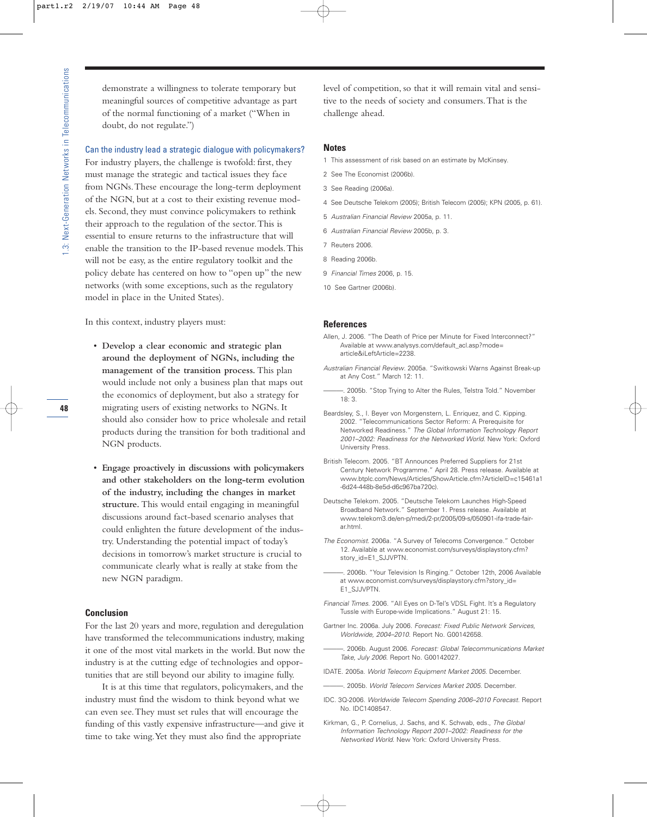demonstrate a willingness to tolerate temporary but meaningful sources of competitive advantage as part of the normal functioning of a market ("When in doubt, do not regulate.")

Can the industry lead a strategic dialogue with policymakers?

For industry players, the challenge is twofold: first, they must manage the strategic and tactical issues they face from NGNs.These encourage the long-term deployment of the NGN, but at a cost to their existing revenue models. Second, they must convince policymakers to rethink their approach to the regulation of the sector.This is essential to ensure returns to the infrastructure that will enable the transition to the IP-based revenue models.This will not be easy, as the entire regulatory toolkit and the policy debate has centered on how to "open up" the new networks (with some exceptions, such as the regulatory model in place in the United States).

In this context, industry players must:

- **Develop a clear economic and strategic plan around the deployment of NGNs, including the management of the transition process.** This plan would include not only a business plan that maps out the economics of deployment, but also a strategy for migrating users of existing networks to NGNs. It should also consider how to price wholesale and retail products during the transition for both traditional and NGN products.
- **Engage proactively in discussions with policymakers and other stakeholders on the long-term evolution of the industry, including the changes in market structure.** This would entail engaging in meaningful discussions around fact-based scenario analyses that could enlighten the future development of the industry. Understanding the potential impact of today's decisions in tomorrow's market structure is crucial to communicate clearly what is really at stake from the new NGN paradigm.

#### **Conclusion**

For the last 20 years and more, regulation and deregulation have transformed the telecommunications industry, making it one of the most vital markets in the world. But now the industry is at the cutting edge of technologies and opportunities that are still beyond our ability to imagine fully.

It is at this time that regulators, policymakers, and the industry must find the wisdom to think beyond what we can even see.They must set rules that will encourage the funding of this vastly expensive infrastructure—and give it time to take wing.Yet they must also find the appropriate

level of competition, so that it will remain vital and sensitive to the needs of society and consumers.That is the challenge ahead.

#### **Notes**

- 1 This assessment of risk based on an estimate by McKinsey.
- 2 See The Economist (2006b).
- 3 See Reading (2006a).
- 4 See Deutsche Telekom (2005); British Telecom (2005); KPN (2005, p. 61).
- 5 Australian Financial Review 2005a, p. 11.
- 6 Australian Financial Review 2005b, p. 3.
- 7 Reuters 2006.
- 8 Reading 2006b.
- 9 Financial Times 2006, p. 15.
- 10 See Gartner (2006b).

#### **References**

- Allen, J. 2006. "The Death of Price per Minute for Fixed Interconnect?" Available at www.analysys.com/default\_acl.asp?mode= article&iLeftArticle=2238.
- Australian Financial Review. 2005a. "Switkowski Warns Against Break-up at Any Cost." March 12: 11.
	- 2005b. "Stop Trying to Alter the Rules, Telstra Told." November 18: 3.
- Beardsley, S., I. Beyer von Morgenstern, L. Enriquez, and C. Kipping. 2002. "Telecommunications Sector Reform: A Prerequisite for Networked Readiness." The Global Information Technology Report 2001–2002: Readiness for the Networked World. New York: Oxford University Press.
- British Telecom. 2005. "BT Announces Preferred Suppliers for 21st Century Network Programme." April 28. Press release. Available at www.btplc.com/News/Articles/ShowArticle.cfm?ArticleID=c15461a1 -6d24-448b-8e5d-d6c967ba720c).
- Deutsche Telekom. 2005. "Deutsche Telekom Launches High-Speed Broadband Network." September 1. Press release. Available at www.telekom3.de/en-p/medi/2-pr/2005/09-s/050901-ifa-trade-fairar.html.
- The Economist. 2006a. "A Survey of Telecoms Convergence." October 12. Available at www.economist.com/surveys/displaystory.cfm? story\_id=E1\_SJJVPTN.
- -. 2006b. "Your Television Is Ringing." October 12th, 2006 Available at www.economist.com/surveys/displaystory.cfm?story\_id= E1\_SJJVPTN.
- Financial Times. 2006. "All Eyes on D-Tel's VDSL Fight. It's a Regulatory Tussle with Europe-wide Implications." August 21: 15.
- Gartner Inc. 2006a. July 2006. Forecast: Fixed Public Network Services, Worldwide, 2004–2010. Report No. G00142658.
- 2006b. August 2006. Forecast: Global Telecommunications Market Take, July 2006. Report No. G00142027.
- IDATE. 2005a. World Telecom Equipment Market 2005. December.
- -. 2005b. World Telecom Services Market 2005. December.
- IDC. 3Q-2006. Worldwide Telecom Spending 2006–2010 Forecast. Report No. IDC1408547.
- Kirkman, G., P. Cornelius, J. Sachs, and K. Schwab, eds., The Global Information Technology Report 2001–2002: Readiness for the Networked World. New York: Oxford University Press.